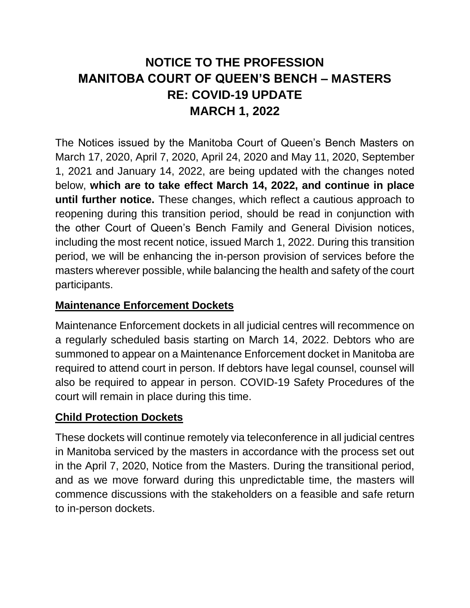# **NOTICE TO THE PROFESSION MANITOBA COURT OF QUEEN'S BENCH – MASTERS RE: COVID-19 UPDATE MARCH 1, 2022**

The Notices issued by the Manitoba Court of Queen's Bench Masters on March 17, 2020, April 7, 2020, April 24, 2020 and May 11, 2020, September 1, 2021 and January 14, 2022, are being updated with the changes noted below, **which are to take effect March 14, 2022, and continue in place until further notice.** These changes, which reflect a cautious approach to reopening during this transition period, should be read in conjunction with the other Court of Queen's Bench Family and General Division notices, including the most recent notice, issued March 1, 2022. During this transition period, we will be enhancing the in-person provision of services before the masters wherever possible, while balancing the health and safety of the court participants.

#### **Maintenance Enforcement Dockets**

Maintenance Enforcement dockets in all judicial centres will recommence on a regularly scheduled basis starting on March 14, 2022. Debtors who are summoned to appear on a Maintenance Enforcement docket in Manitoba are required to attend court in person. If debtors have legal counsel, counsel will also be required to appear in person. COVID-19 Safety Procedures of the court will remain in place during this time.

#### **Child Protection Dockets**

These dockets will continue remotely via teleconference in all judicial centres in Manitoba serviced by the masters in accordance with the process set out in the April 7, 2020, Notice from the Masters. During the transitional period, and as we move forward during this unpredictable time, the masters will commence discussions with the stakeholders on a feasible and safe return to in-person dockets.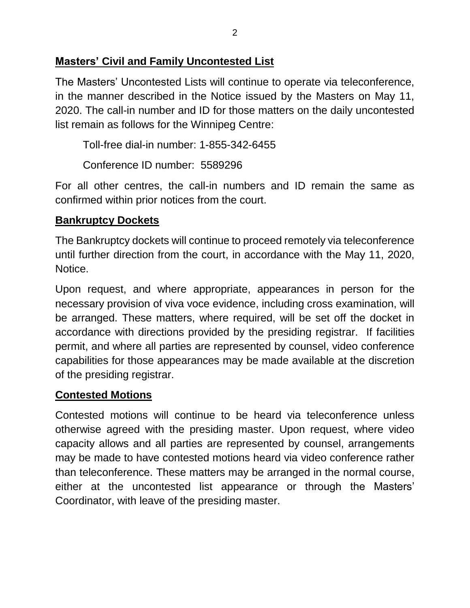#### **Masters' Civil and Family Uncontested List**

The Masters' Uncontested Lists will continue to operate via teleconference, in the manner described in the Notice issued by the Masters on May 11, 2020. The call-in number and ID for those matters on the daily uncontested list remain as follows for the Winnipeg Centre:

Toll-free dial-in number: 1-855-342-6455

Conference ID number: 5589296

For all other centres, the call-in numbers and ID remain the same as confirmed within prior notices from the court.

#### **Bankruptcy Dockets**

The Bankruptcy dockets will continue to proceed remotely via teleconference until further direction from the court, in accordance with the May 11, 2020, Notice.

Upon request, and where appropriate, appearances in person for the necessary provision of viva voce evidence, including cross examination, will be arranged. These matters, where required, will be set off the docket in accordance with directions provided by the presiding registrar. If facilities permit, and where all parties are represented by counsel, video conference capabilities for those appearances may be made available at the discretion of the presiding registrar.

#### **Contested Motions**

Contested motions will continue to be heard via teleconference unless otherwise agreed with the presiding master. Upon request, where video capacity allows and all parties are represented by counsel, arrangements may be made to have contested motions heard via video conference rather than teleconference. These matters may be arranged in the normal course, either at the uncontested list appearance or through the Masters' Coordinator, with leave of the presiding master.